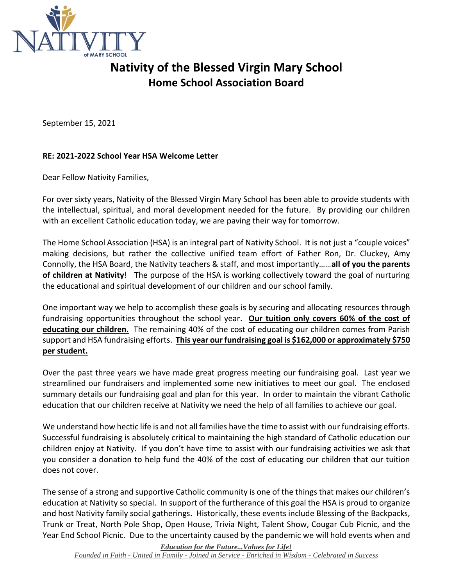

## **Nativity of the Blessed Virgin Mary School Home School Association Board**

September 15, 2021

## **RE: 2021-2022 School Year HSA Welcome Letter**

Dear Fellow Nativity Families,

For over sixty years, Nativity of the Blessed Virgin Mary School has been able to provide students with the intellectual, spiritual, and moral development needed for the future. By providing our children with an excellent Catholic education today, we are paving their way for tomorrow.

The Home School Association (HSA) is an integral part of Nativity School. It is not just a "couple voices" making decisions, but rather the collective unified team effort of Father Ron, Dr. Cluckey, Amy Connolly, the HSA Board, the Nativity teachers & staff, and most importantly……**all of you the parents of children at Nativity**! The purpose of the HSA is working collectively toward the goal of nurturing the educational and spiritual development of our children and our school family.

One important way we help to accomplish these goals is by securing and allocating resources through fundraising opportunities throughout the school year. **Our tuition only covers 60% of the cost of educating our children.** The remaining 40% of the cost of educating our children comes from Parish support and HSA fundraising efforts. **This year our fundraising goal is \$162,000 or approximately \$750 per student.**

Over the past three years we have made great progress meeting our fundraising goal. Last year we streamlined our fundraisers and implemented some new initiatives to meet our goal. The enclosed summary details our fundraising goal and plan for this year. In order to maintain the vibrant Catholic education that our children receive at Nativity we need the help of all families to achieve our goal.

We understand how hectic life is and not all families have the time to assist with our fundraising efforts. Successful fundraising is absolutely critical to maintaining the high standard of Catholic education our children enjoy at Nativity. If you don't have time to assist with our fundraising activities we ask that you consider a donation to help fund the 40% of the cost of educating our children that our tuition does not cover.

The sense of a strong and supportive Catholic community is one of the things that makes our children's education at Nativity so special. In support of the furtherance of this goal the HSA is proud to organize and host Nativity family social gatherings. Historically, these events include Blessing of the Backpacks, Trunk or Treat, North Pole Shop, Open House, Trivia Night, Talent Show, Cougar Cub Picnic, and the Year End School Picnic. Due to the uncertainty caused by the pandemic we will hold events when and

*Education for the Future...Values for Life!*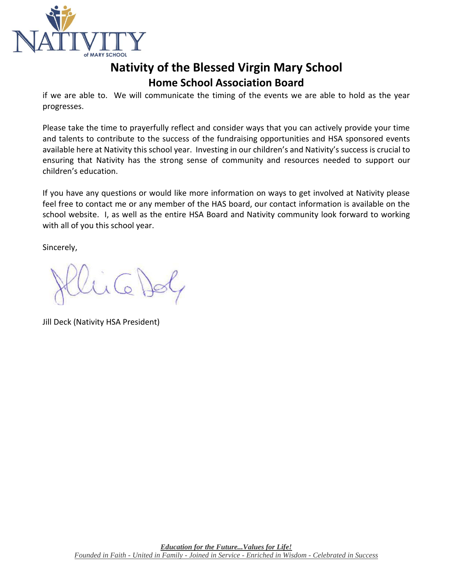

## **Nativity of the Blessed Virgin Mary School Home School Association Board**

if we are able to. We will communicate the timing of the events we are able to hold as the year progresses.

Please take the time to prayerfully reflect and consider ways that you can actively provide your time and talents to contribute to the success of the fundraising opportunities and HSA sponsored events available here at Nativity this school year. Investing in our children's and Nativity's success is crucial to ensuring that Nativity has the strong sense of community and resources needed to support our children's education.

If you have any questions or would like more information on ways to get involved at Nativity please feel free to contact me or any member of the HAS board, our contact information is available on the school website. I, as well as the entire HSA Board and Nativity community look forward to working with all of you this school year.

Sincerely,

Jill Deck (Nativity HSA President)